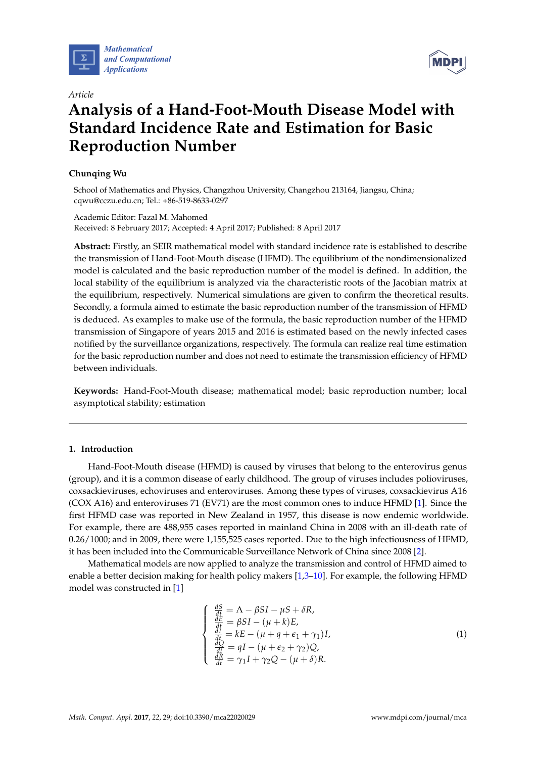

*Article*



# **Analysis of a Hand-Foot-Mouth Disease Model with Standard Incidence Rate and Estimation for Basic Reproduction Number**

# **Chunqing Wu**

School of Mathematics and Physics, Changzhou University, Changzhou 213164, Jiangsu, China; cqwu@cczu.edu.cn; Tel.: +86-519-8633-0297

# Academic Editor: Fazal M. Mahomed Received: 8 February 2017; Accepted: 4 April 2017; Published: 8 April 2017

**Abstract:** Firstly, an SEIR mathematical model with standard incidence rate is established to describe the transmission of Hand-Foot-Mouth disease (HFMD). The equilibrium of the nondimensionalized model is calculated and the basic reproduction number of the model is defined. In addition, the local stability of the equilibrium is analyzed via the characteristic roots of the Jacobian matrix at the equilibrium, respectively. Numerical simulations are given to confirm the theoretical results. Secondly, a formula aimed to estimate the basic reproduction number of the transmission of HFMD is deduced. As examples to make use of the formula, the basic reproduction number of the HFMD transmission of Singapore of years 2015 and 2016 is estimated based on the newly infected cases notified by the surveillance organizations, respectively. The formula can realize real time estimation for the basic reproduction number and does not need to estimate the transmission efficiency of HFMD between individuals.

**Keywords:** Hand-Foot-Mouth disease; mathematical model; basic reproduction number; local asymptotical stability; estimation

# **1. Introduction**

Hand-Foot-Mouth disease (HFMD) is caused by viruses that belong to the enterovirus genus (group), and it is a common disease of early childhood. The group of viruses includes polioviruses, coxsackieviruses, echoviruses and enteroviruses. Among these types of viruses, coxsackievirus A16 (COX A16) and enteroviruses 71 (EV71) are the most common ones to induce HFMD [\[1\]](#page-9-0). Since the first HFMD case was reported in New Zealand in 1957, this disease is now endemic worldwide. For example, there are 488,955 cases reported in mainland China in 2008 with an ill-death rate of 0.26/1000; and in 2009, there were 1,155,525 cases reported. Due to the high infectiousness of HFMD, it has been included into the Communicable Surveillance Network of China since 2008 [\[2\]](#page-9-1).

Mathematical models are now applied to analyze the transmission and control of HFMD aimed to enable a better decision making for health policy makers [\[1,](#page-9-0)[3](#page-9-2)[–10\]](#page-9-3). For example, the following HFMD model was constructed in [\[1\]](#page-9-0)

$$
\begin{cases}\n\frac{dS}{dt} = \Lambda - \beta SI - \mu S + \delta R, \\
\frac{dE}{dt} = \beta SI - (\mu + k)E, \\
\frac{dI}{dt} = kE - (\mu + q + \epsilon_1 + \gamma_1)I, \\
\frac{dQ}{dt} = qI - (\mu + \epsilon_2 + \gamma_2)Q, \\
\frac{dR}{dt} = \gamma_1 I + \gamma_2 Q - (\mu + \delta)R.\n\end{cases}
$$
\n(1)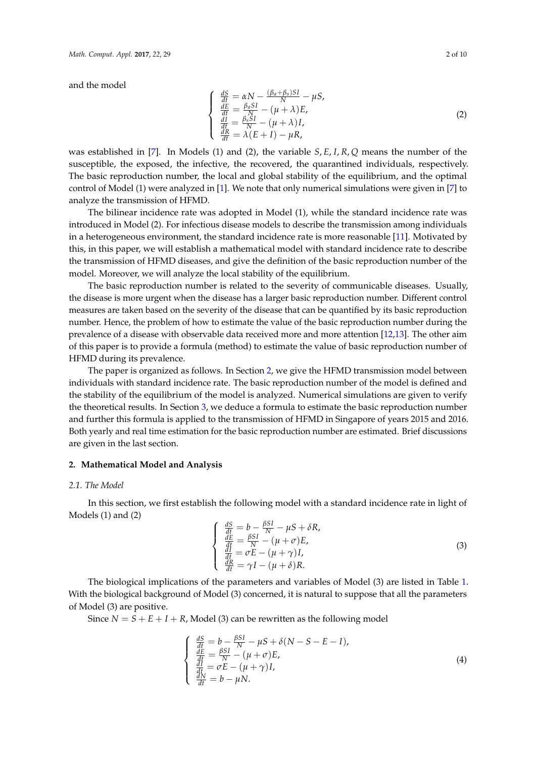and the model

$$
\begin{cases}\n\frac{dS}{dt} = \alpha N - \frac{(\beta_a + \beta_s)SI}{N} - \mu S, \\
\frac{dE}{dt} = \frac{\beta_a SI}{N} - (\mu + \lambda)E, \\
\frac{dI}{dt} = \frac{\beta_s SI}{N} - (\mu + \lambda)I, \\
\frac{dR}{dt} = \lambda (E + I) - \mu R,\n\end{cases}
$$
\n(2)

was established in [\[7\]](#page-9-4). In Models (1) and (2), the variable *S*, *E*, *I*, *R*, *Q* means the number of the susceptible, the exposed, the infective, the recovered, the quarantined individuals, respectively. The basic reproduction number, the local and global stability of the equilibrium, and the optimal control of Model (1) were analyzed in [\[1\]](#page-9-0). We note that only numerical simulations were given in [\[7\]](#page-9-4) to analyze the transmission of HFMD.

The bilinear incidence rate was adopted in Model (1), while the standard incidence rate was introduced in Model (2). For infectious disease models to describe the transmission among individuals in a heterogeneous environment, the standard incidence rate is more reasonable [\[11\]](#page-9-5). Motivated by this, in this paper, we will establish a mathematical model with standard incidence rate to describe the transmission of HFMD diseases, and give the definition of the basic reproduction number of the model. Moreover, we will analyze the local stability of the equilibrium.

The basic reproduction number is related to the severity of communicable diseases. Usually, the disease is more urgent when the disease has a larger basic reproduction number. Different control measures are taken based on the severity of the disease that can be quantified by its basic reproduction number. Hence, the problem of how to estimate the value of the basic reproduction number during the prevalence of a disease with observable data received more and more attention [\[12](#page-9-6)[,13\]](#page-9-7). The other aim of this paper is to provide a formula (method) to estimate the value of basic reproduction number of HFMD during its prevalence.

The paper is organized as follows. In Section [2,](#page-1-0) we give the HFMD transmission model between individuals with standard incidence rate. The basic reproduction number of the model is defined and the stability of the equilibrium of the model is analyzed. Numerical simulations are given to verify the theoretical results. In Section [3,](#page-5-0) we deduce a formula to estimate the basic reproduction number and further this formula is applied to the transmission of HFMD in Singapore of years 2015 and 2016. Both yearly and real time estimation for the basic reproduction number are estimated. Brief discussions are given in the last section.

# <span id="page-1-0"></span>**2. Mathematical Model and Analysis**

#### *2.1. The Model*

In this section, we first establish the following model with a standard incidence rate in light of Models (1) and (2)

$$
\begin{cases}\n\frac{dS}{dt} = b - \frac{\beta SI}{N} - \mu S + \delta R, \\
\frac{dE}{dt} = \frac{\beta SI}{N} - (\mu + \sigma) E, \\
\frac{dI}{dt} = \sigma E - (\mu + \gamma) I, \\
\frac{dR}{dt} = \gamma I - (\mu + \delta) R.\n\end{cases}
$$
\n(3)

The biological implications of the parameters and variables of Model (3) are listed in Table [1.](#page-2-0) With the biological background of Model (3) concerned, it is natural to suppose that all the parameters of Model (3) are positive.

Since  $N = S + E + I + R$ , Model (3) can be rewritten as the following model

$$
\begin{cases}\n\frac{dS}{dt} = b - \frac{\beta SI}{N} - \mu S + \delta (N - S - E - I), \n\frac{dE}{dt} = \frac{\beta SI}{N} - (\mu + \sigma)E, \n\frac{dI}{dt} = \sigma E - (\mu + \gamma)I, \n\frac{dN}{dt} = b - \mu N.\n\end{cases}
$$
\n(4)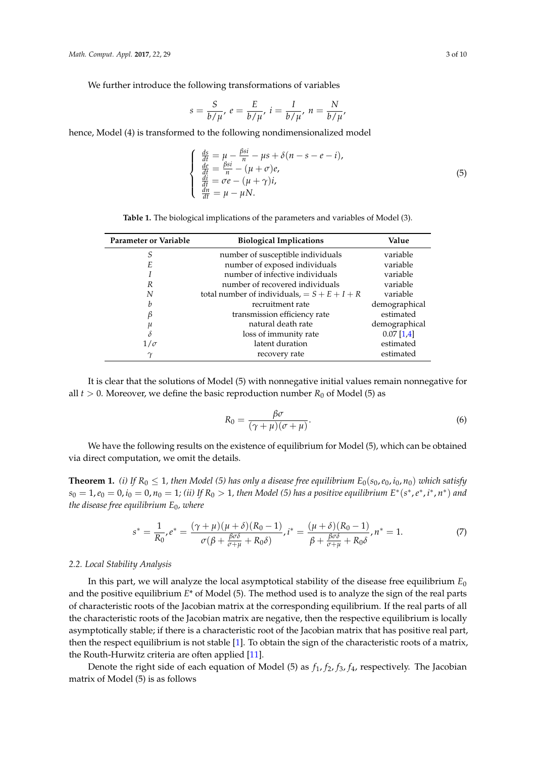We further introduce the following transformations of variables

$$
s = \frac{S}{b/\mu}, e = \frac{E}{b/\mu}, i = \frac{I}{b/\mu}, n = \frac{N}{b/\mu},
$$

hence, Model (4) is transformed to the following nondimensionalized model

$$
\begin{cases}\n\frac{ds}{dt} = \mu - \frac{\beta si}{n} - \mu s + \delta (n - s - e - i),\n\frac{de}{dt} = \frac{\beta si}{n} - (\mu + \sigma)e,\n\frac{di}{dt} = \sigma e - (\mu + \gamma)i,\n\frac{dn}{dt} = \mu - \mu N.\n\end{cases}
$$
\n(5)

**Table 1.** The biological implications of the parameters and variables of Model (3).

<span id="page-2-0"></span>

| Parameter or Variable | <b>Biological Implications</b>                 | Value         |
|-----------------------|------------------------------------------------|---------------|
| S                     | number of susceptible individuals              | variable      |
| E                     | number of exposed individuals                  | variable      |
|                       | number of infective individuals                | variable      |
| R                     | number of recovered individuals                | variable      |
| N                     | total number of individuals, $= S + E + I + R$ | variable      |
| b                     | recruitment rate                               | demographical |
| В                     | transmission efficiency rate                   | estimated     |
| μ                     | natural death rate                             | demographical |
| δ                     | loss of immunity rate                          | $0.07$ [1,4]  |
| $1/\sigma$            | latent duration                                | estimated     |
| $\gamma$              | recovery rate                                  | estimated     |

It is clear that the solutions of Model (5) with nonnegative initial values remain nonnegative for all  $t > 0$ . Moreover, we define the basic reproduction number  $R_0$  of Model (5) as

$$
R_0 = \frac{\beta \sigma}{(\gamma + \mu)(\sigma + \mu)}.
$$
\n(6)

We have the following results on the existence of equilibrium for Model (5), which can be obtained via direct computation, we omit the details.

**Theorem 1.** *(i)* If  $R_0 \leq 1$ , then Model (5) has only a disease free equilibrium  $E_0(s_0, e_0, i_0, n_0)$  which satisfy  $s_0 = 1, e_0 = 0, i_0 = 0, n_0 = 1$ ; (ii) If  $R_0 > 1$ , then Model (5) has a positive equilibrium  $E^*(s^*, e^*, i^*, n^*)$  and *the disease free equilibrium E*0*, where*

$$
s^* = \frac{1}{R_0}, e^* = \frac{(\gamma + \mu)(\mu + \delta)(R_0 - 1)}{\sigma(\beta + \frac{\beta\sigma\delta}{\sigma + \mu} + R_0\delta)}, i^* = \frac{(\mu + \delta)(R_0 - 1)}{\beta + \frac{\beta\sigma\delta}{\sigma + \mu} + R_0\delta}, n^* = 1.
$$
 (7)

## *2.2. Local Stability Analysis*

In this part, we will analyze the local asymptotical stability of the disease free equilibrium  $E_0$ and the positive equilibrium *E*\* of Model (5). The method used is to analyze the sign of the real parts of characteristic roots of the Jacobian matrix at the corresponding equilibrium. If the real parts of all the characteristic roots of the Jacobian matrix are negative, then the respective equilibrium is locally asymptotically stable; if there is a characteristic root of the Jacobian matrix that has positive real part, then the respect equilibrium is not stable [\[1\]](#page-9-0). To obtain the sign of the characteristic roots of a matrix, the Routh-Hurwitz criteria are often applied [\[11\]](#page-9-5).

Denote the right side of each equation of Model (5) as *f*1, *f*2, *f*3, *f*4, respectively. The Jacobian matrix of Model (5) is as follows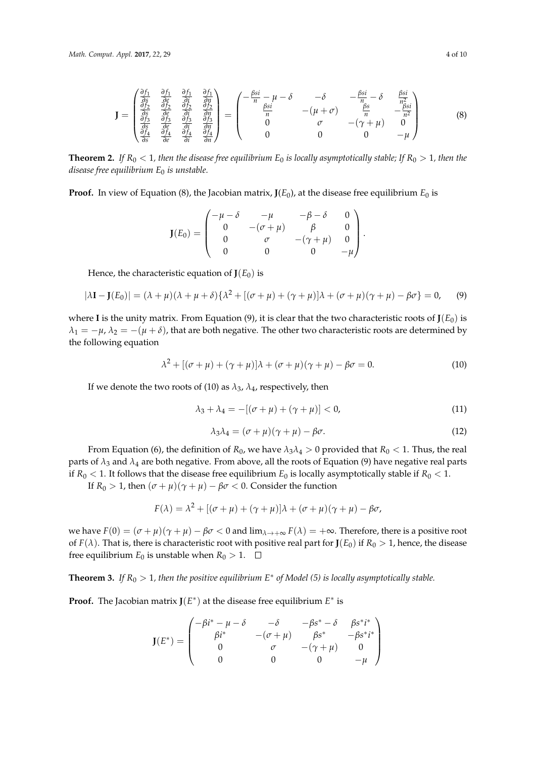$$
\mathbf{J} = \begin{pmatrix} \frac{\partial f_1}{\partial s} & \frac{\partial f_1}{\partial e} & \frac{\partial f_1}{\partial u} & \frac{\partial f_1}{\partial u} \\ \frac{\partial f_2}{\partial s} & \frac{\partial f_2}{\partial e} & \frac{\partial f_2}{\partial i} & \frac{\partial f_2}{\partial u} \\ \frac{\partial f_3}{\partial s} & \frac{\partial f_3}{\partial e} & \frac{\partial f_3}{\partial i} & \frac{\partial f_3}{\partial u} \\ \frac{\partial f_4}{\partial s} & \frac{\partial f_4}{\partial e} & \frac{\partial f_4}{\partial i} & \frac{\partial f_4}{\partial u} \end{pmatrix} = \begin{pmatrix} -\frac{\beta si}{n} - \mu - \delta & -\delta & -\frac{\beta si}{n} - \delta & \frac{\beta si}{n^2} \\ \frac{\beta si}{n} & -(\mu + \sigma) & \frac{\beta s}{n} & -\frac{\beta si}{n^2} \\ 0 & \sigma & -(\gamma + \mu) & 0 \\ 0 & 0 & 0 & -\mu \end{pmatrix}
$$
(8)

**Theorem 2.** If  $R_0 < 1$ , then the disease free equilibrium  $E_0$  is locally asymptotically stable; If  $R_0 > 1$ , then the *disease free equilibrium E*<sup>0</sup> *is unstable.*

**Proof.** In view of Equation (8), the Jacobian matrix,  $J(E_0)$ , at the disease free equilibrium  $E_0$  is

$$
\mathbf{J}(E_0) = \begin{pmatrix} -\mu - \delta & -\mu & -\beta - \delta & 0 \\ 0 & -(\sigma + \mu) & \beta & 0 \\ 0 & \sigma & -(\gamma + \mu) & 0 \\ 0 & 0 & 0 & -\mu \end{pmatrix}
$$

Hence, the characteristic equation of  $J(E_0)$  is

$$
|\lambda \mathbf{I} - \mathbf{J}(E_0)| = (\lambda + \mu)(\lambda + \mu + \delta)\{\lambda^2 + [(\sigma + \mu) + (\gamma + \mu)]\lambda + (\sigma + \mu)(\gamma + \mu) - \beta\sigma\} = 0,\tag{9}
$$

where **I** is the unity matrix. From Equation (9), it is clear that the two characteristic roots of  $J(E_0)$  is  $\lambda_1 = -\mu$ ,  $\lambda_2 = -(\mu + \delta)$ , that are both negative. The other two characteristic roots are determined by the following equation

$$
\lambda^2 + [(\sigma + \mu) + (\gamma + \mu)]\lambda + (\sigma + \mu)(\gamma + \mu) - \beta\sigma = 0.
$$
 (10)

If we denote the two roots of (10) as  $\lambda_3$ ,  $\lambda_4$ , respectively, then

$$
\lambda_3 + \lambda_4 = -[(\sigma + \mu) + (\gamma + \mu)] < 0,\tag{11}
$$

$$
\lambda_3 \lambda_4 = (\sigma + \mu)(\gamma + \mu) - \beta \sigma. \tag{12}
$$

.

From Equation (6), the definition of  $R_0$ , we have  $\lambda_3 \lambda_4 > 0$  provided that  $R_0 < 1$ . Thus, the real parts of  $\lambda_3$  and  $\lambda_4$  are both negative. From above, all the roots of Equation (9) have negative real parts if  $R_0$  < 1. It follows that the disease free equilibrium  $E_0$  is locally asymptotically stable if  $R_0$  < 1.

If  $R_0 > 1$ , then  $(\sigma + \mu)(\gamma + \mu) - \beta \sigma < 0$ . Consider the function

$$
F(\lambda) = \lambda^2 + [(\sigma + \mu) + (\gamma + \mu)]\lambda + (\sigma + \mu)(\gamma + \mu) - \beta\sigma,
$$

we have  $F(0) = (\sigma + \mu)(\gamma + \mu) - \beta \sigma < 0$  and  $\lim_{\lambda \to +\infty} F(\lambda) = +\infty$ . Therefore, there is a positive root of *F*( $\lambda$ ). That is, there is characteristic root with positive real part for **J**( $E_0$ ) if  $R_0 > 1$ , hence, the disease free equilibrium  $E_0$  is unstable when  $R_0 > 1$ .  $\Box$ 

**Theorem 3.** *If R*<sup>0</sup> > 1*, then the positive equilibrium E*<sup>∗</sup> *of Model (5) is locally asymptotically stable.*

**Proof.** The Jacobian matrix  $J(E^*)$  at the disease free equilibrium  $E^*$  is

$$
\mathbf{J}(E^*) = \begin{pmatrix} -\beta i^* - \mu - \delta & -\delta & -\beta s^* - \delta & \beta s^* i^* \\ \beta i^* & -(\sigma + \mu) & \beta s^* & -\beta s^* i^* \\ 0 & \sigma & -(\gamma + \mu) & 0 \\ 0 & 0 & 0 & -\mu \end{pmatrix}
$$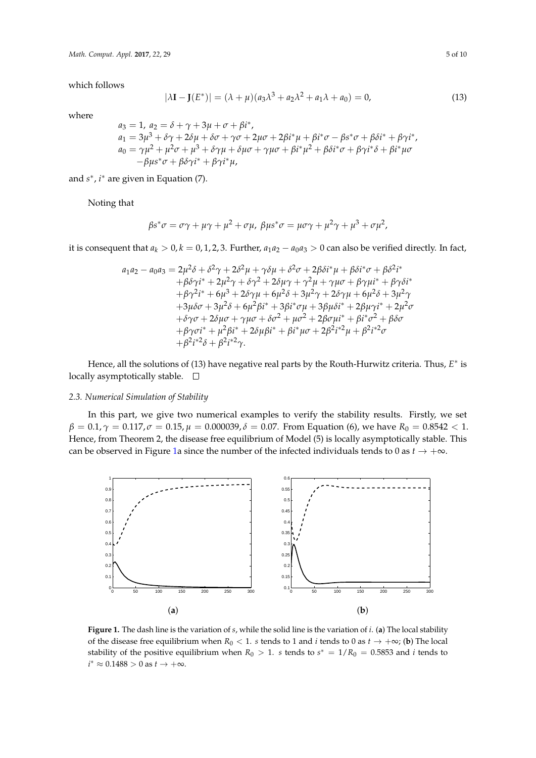which follows

$$
|\lambda I - J(E^*)| = (\lambda + \mu)(a_3 \lambda^3 + a_2 \lambda^2 + a_1 \lambda + a_0) = 0,
$$
\n(13)

where

$$
a_3 = 1, a_2 = \delta + \gamma + 3\mu + \sigma + \beta i^*,
$$
  
\n
$$
a_1 = 3\mu^3 + \delta\gamma + 2\delta\mu + \delta\sigma + \gamma\sigma + 2\mu\sigma + 2\beta i^*\mu + \beta i^*\sigma - \beta s^*\sigma + \beta \delta i^* + \beta \gamma i^*,
$$
  
\n
$$
a_0 = \gamma\mu^2 + \mu^2\sigma + \mu^3 + \delta\gamma\mu + \delta\mu\sigma + \gamma\mu\sigma + \beta i^*\mu^2 + \beta \delta i^*\sigma + \beta \gamma i^*\delta + \beta i^*\mu\sigma - \beta\mu s^*\sigma + \beta \delta \gamma i^* + \beta \gamma i^*\mu,
$$

and  $s^*$ , *i*<sup>\*</sup> are given in Equation (7).

Noting that

$$
\beta s^* \sigma = \sigma \gamma + \mu \gamma + \mu^2 + \sigma \mu, \ \beta \mu s^* \sigma = \mu \sigma \gamma + \mu^2 \gamma + \mu^3 + \sigma \mu^2,
$$

it is consequent that  $a_k > 0$ ,  $k = 0, 1, 2, 3$ . Further,  $a_1a_2 - a_0a_3 > 0$  can also be verified directly. In fact,

$$
a_1a_2 - a_0a_3 = 2\mu^2\delta + \delta^2\gamma + 2\delta^2\mu + \gamma\delta\mu + \delta^2\sigma + 2\beta\delta i^*\mu + \beta\delta i^*\sigma + \beta\delta^2 i^* + \beta\delta\gamma i^* + 2\mu^2\gamma + \delta\gamma^2 + 2\delta\mu\gamma + \gamma^2\mu + \gamma\mu\sigma + \beta\gamma\mu i^* + \beta\gamma\delta i^* + \beta\gamma^2 i^* + 6\mu^3 + 2\delta\gamma\mu + 6\mu^2\delta + 3\mu^2\gamma + 2\delta\gamma\mu + 6\mu^2\delta + 3\mu^2\gamma + 3\mu\delta\sigma + 3\mu^2\delta + 6\mu^2\beta i^* + 3\beta i^*\sigma\mu + 3\beta\mu\delta i^* + 2\beta\mu\gamma i^* + 2\mu^2\sigma + \delta\gamma\sigma + 2\delta\mu\sigma + \gamma\mu\sigma + \delta\sigma^2 + \mu\sigma^2 + 2\beta\sigma\mu i^* + \beta i^*\sigma^2 + \beta\delta\sigma + \beta\gamma\sigma i^* + \mu^2\beta i^* + 2\delta\mu\beta i^* + \beta i^*\mu\sigma + 2\beta^2 i^*\mu + \beta^2 i^*\sigma + \beta^2 i^*\delta + \beta^2 i^*\gamma.
$$

Hence, all the solutions of (13) have negative real parts by the Routh-Hurwitz criteria. Thus, *E*<sup>∗</sup> is locally asymptotically stable.  $\square$ 

## *2.3. Numerical Simulation of Stability*

In this part, we give two numerical examples to verify the stability results. Firstly, we set  $\beta = 0.1$ ,  $\gamma = 0.117$ ,  $\sigma = 0.15$ ,  $\mu = 0.000039$ ,  $\delta = 0.07$ . From Equation (6), we have  $R_0 = 0.8542 < 1$ . Hence, from Theorem 2, the disease free equilibrium of Model (5) is locally asymptotically stable. This can be observed in Figure [1a](#page-4-0) since the number of the infected individuals tends to 0 as  $t \to +\infty$ .

<span id="page-4-0"></span>

**Figure 1.** The dash line is the variation of *s*, while the solid line is the variation of *i*. (**a**) The local stability of the disease free equilibrium when  $R_0 < 1$ . *s* tends to 1 and *i* tends to 0 as  $t \to +\infty$ ; (**b**) The local stability of the positive equilibrium when  $R_0 > 1$ . *s* tends to  $s^* = 1/R_0 = 0.5853$  and *i* tends to  $i^* \approx 0.1488 > 0$  as  $t \to +\infty$ .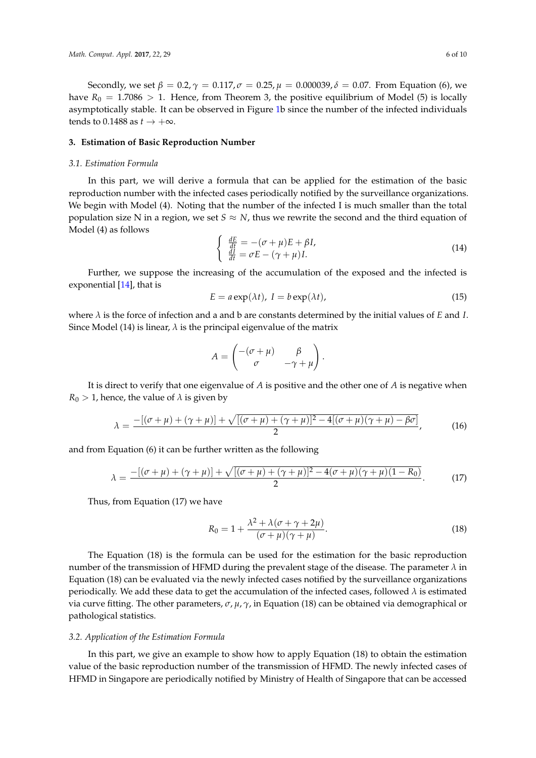Secondly, we set  $β = 0.2, γ = 0.117, σ = 0.25, μ = 0.000039, δ = 0.07$ . From Equation (6), we have  $R_0 = 1.7086 > 1$ . Hence, from Theorem 3, the positive equilibrium of Model (5) is locally asymptotically stable. It can be observed in Figure [1b](#page-4-0) since the number of the infected individuals tends to 0.1488 as  $t \rightarrow +\infty$ .

### <span id="page-5-0"></span>**3. Estimation of Basic Reproduction Number**

#### *3.1. Estimation Formula*

In this part, we will derive a formula that can be applied for the estimation of the basic reproduction number with the infected cases periodically notified by the surveillance organizations. We begin with Model (4). Noting that the number of the infected I is much smaller than the total population size N in a region, we set  $S \approx N$ , thus we rewrite the second and the third equation of Model (4) as follows

$$
\begin{cases} \frac{dE}{dt} = -(\sigma + \mu)E + \beta I, \\ \frac{dI}{dt} = \sigma E - (\gamma + \mu)I. \end{cases}
$$
\n(14)

Further, we suppose the increasing of the accumulation of the exposed and the infected is exponential [\[14\]](#page-9-9), that is

$$
E = a \exp(\lambda t), I = b \exp(\lambda t),
$$
\n(15)

where *λ* is the force of infection and a and b are constants determined by the initial values of *E* and *I*. Since Model (14) is linear,  $\lambda$  is the principal eigenvalue of the matrix

$$
A = \begin{pmatrix} -(\sigma + \mu) & \beta \\ \sigma & -\gamma + \mu \end{pmatrix}.
$$

It is direct to verify that one eigenvalue of *A* is positive and the other one of *A* is negative when  $R_0 > 1$ , hence, the value of  $\lambda$  is given by

$$
\lambda = \frac{-[(\sigma + \mu) + (\gamma + \mu)] + \sqrt{[(\sigma + \mu) + (\gamma + \mu)]^2 - 4[(\sigma + \mu)(\gamma + \mu) - \beta\sigma]}}{2},
$$
(16)

and from Equation (6) it can be further written as the following

$$
\lambda = \frac{-[(\sigma + \mu) + (\gamma + \mu)] + \sqrt{[(\sigma + \mu) + (\gamma + \mu)]^2 - 4(\sigma + \mu)(\gamma + \mu)(1 - R_0)}}{2}.
$$
 (17)

Thus, from Equation (17) we have

$$
R_0 = 1 + \frac{\lambda^2 + \lambda(\sigma + \gamma + 2\mu)}{(\sigma + \mu)(\gamma + \mu)}.
$$
\n(18)

The Equation (18) is the formula can be used for the estimation for the basic reproduction number of the transmission of HFMD during the prevalent stage of the disease. The parameter *λ* in Equation (18) can be evaluated via the newly infected cases notified by the surveillance organizations periodically. We add these data to get the accumulation of the infected cases, followed *λ* is estimated via curve fitting. The other parameters, *σ*, *µ*, *γ*, in Equation (18) can be obtained via demographical or pathological statistics.

#### <span id="page-5-1"></span>*3.2. Application of the Estimation Formula*

In this part, we give an example to show how to apply Equation (18) to obtain the estimation value of the basic reproduction number of the transmission of HFMD. The newly infected cases of HFMD in Singapore are periodically notified by Ministry of Health of Singapore that can be accessed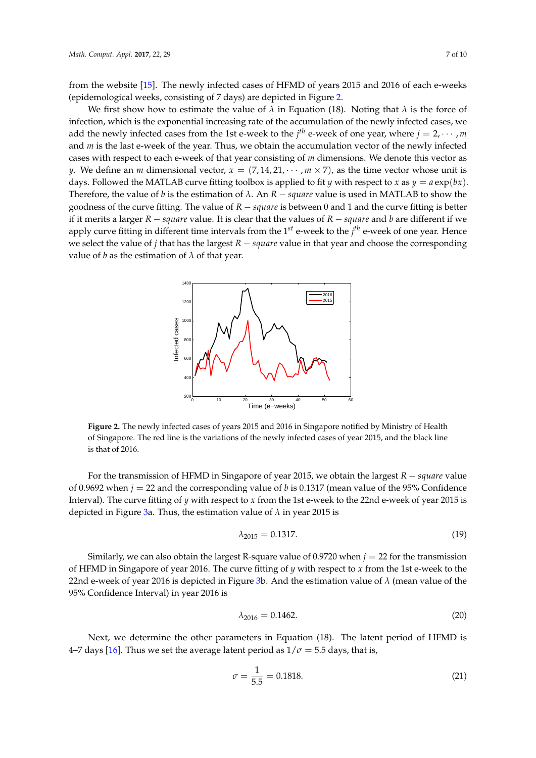from the website [\[15\]](#page-9-10). The newly infected cases of HFMD of years 2015 and 2016 of each e-weeks (epidemological weeks, consisting of 7 days) are depicted in Figure [2.](#page-6-0)

We first show how to estimate the value of  $\lambda$  in Equation (18). Noting that  $\lambda$  is the force of infection, which is the exponential increasing rate of the accumulation of the newly infected cases, we add the newly infected cases from the 1st e-week to the  $j<sup>th</sup>$  e-week of one year, where  $j = 2, \cdots, m$ and *m* is the last e-week of the year. Thus, we obtain the accumulation vector of the newly infected cases with respect to each e-week of that year consisting of *m* dimensions. We denote this vector as *y*. We define an *m* dimensional vector,  $x = (7, 14, 21, \dots, m \times 7)$ , as the time vector whose unit is days. Followed the MATLAB curve fitting toolbox is applied to fit *y* with respect to *x* as  $y = a \exp(bx)$ . Therefore, the value of *b* is the estimation of  $\lambda$ . An  $R - square$  value is used in MATLAB to show the goodness of the curve fitting. The value of *R* − *square* is between 0 and 1 and the curve fitting is better if it merits a larger *R* − *square* value. It is clear that the values of *R* − *square* and *b* are different if we apply curve fitting in different time intervals from the 1 *st* e-week to the *j th* e-week of one year. Hence we select the value of *j* that has the largest *R* − *square* value in that year and choose the corresponding value of *b* as the estimation of  $\lambda$  of that year.

<span id="page-6-0"></span>

**Figure 2.** The newly infected cases of years 2015 and 2016 in Singapore notified by Ministry of Health of Singapore. The red line is the variations of the newly infected cases of year 2015, and the black line is that of 2016.

For the transmission of HFMD in Singapore of year 2015, we obtain the largest *R* − *square* value of 0.9692 when  $j = 22$  and the corresponding value of *b* is 0.1317 (mean value of the 95% Confidence Interval). The curve fitting of *y* with respect to *x* from the 1st e-week to the 22nd e-week of year 2015 is depicted in Figure [3a](#page-7-0). Thus, the estimation value of *λ* in year 2015 is

$$
\lambda_{2015} = 0.1317. \tag{19}
$$

Similarly, we can also obtain the largest R-square value of 0.9720 when  $j = 22$  for the transmission of HFMD in Singapore of year 2016. The curve fitting of *y* with respect to *x* from the 1st e-week to the 22nd e-week of year 2016 is depicted in Figure [3b](#page-7-0). And the estimation value of *λ* (mean value of the 95% Confidence Interval) in year 2016 is

$$
\lambda_{2016} = 0.1462. \tag{20}
$$

Next, we determine the other parameters in Equation (18). The latent period of HFMD is 4–7 days [\[16\]](#page-9-11). Thus we set the average latent period as  $1/\sigma = 5.5$  days, that is,

$$
\sigma = \frac{1}{5.5} = 0.1818. \tag{21}
$$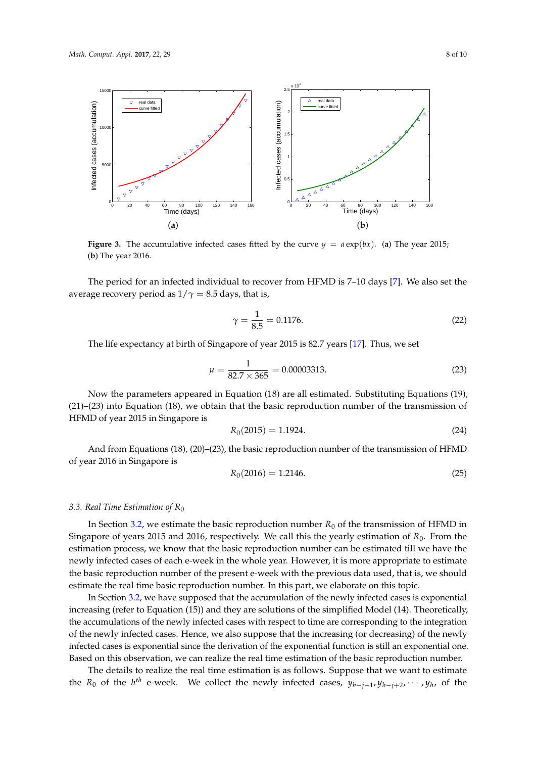<span id="page-7-0"></span>

**Figure 3.** The accumulative infected cases fitted by the curve  $y = a \exp(bx)$ . (a) The year 2015; (**b**) The year 2016.

The period for an infected individual to recover from HFMD is 7–10 days [\[7\]](#page-9-4). We also set the average recovery period as  $1/\gamma = 8.5$  days, that is,

$$
\gamma = \frac{1}{8.5} = 0.1176. \tag{22}
$$

The life expectancy at birth of Singapore of year 2015 is 82.7 years [\[17\]](#page-9-12). Thus, we set

$$
\mu = \frac{1}{82.7 \times 365} = 0.00003313. \tag{23}
$$

Now the parameters appeared in Equation (18) are all estimated. Substituting Equations (19), (21)–(23) into Equation (18), we obtain that the basic reproduction number of the transmission of HFMD of year 2015 in Singapore is

$$
R_0(2015) = 1.1924. \t\t(24)
$$

And from Equations (18), (20)–(23), the basic reproduction number of the transmission of HFMD of year 2016 in Singapore is

$$
R_0(2016) = 1.2146. \t\t(25)
$$

## *3.3. Real Time Estimation of R*<sup>0</sup>

In Section [3.2,](#page-5-1) we estimate the basic reproduction number  $R_0$  of the transmission of HFMD in Singapore of years 2015 and 2016, respectively. We call this the yearly estimation of *R*<sub>0</sub>. From the estimation process, we know that the basic reproduction number can be estimated till we have the newly infected cases of each e-week in the whole year. However, it is more appropriate to estimate the basic reproduction number of the present e-week with the previous data used, that is, we should estimate the real time basic reproduction number. In this part, we elaborate on this topic.

In Section [3.2,](#page-5-1) we have supposed that the accumulation of the newly infected cases is exponential increasing (refer to Equation (15)) and they are solutions of the simplified Model (14). Theoretically, the accumulations of the newly infected cases with respect to time are corresponding to the integration of the newly infected cases. Hence, we also suppose that the increasing (or decreasing) of the newly infected cases is exponential since the derivation of the exponential function is still an exponential one. Based on this observation, we can realize the real time estimation of the basic reproduction number.

The details to realize the real time estimation is as follows. Suppose that we want to estimate the  $R_0$  of the  $h^{th}$  e-week. We collect the newly infected cases,  $y_{h-j+1}, y_{h-j+2}, \cdots, y_h$ , of the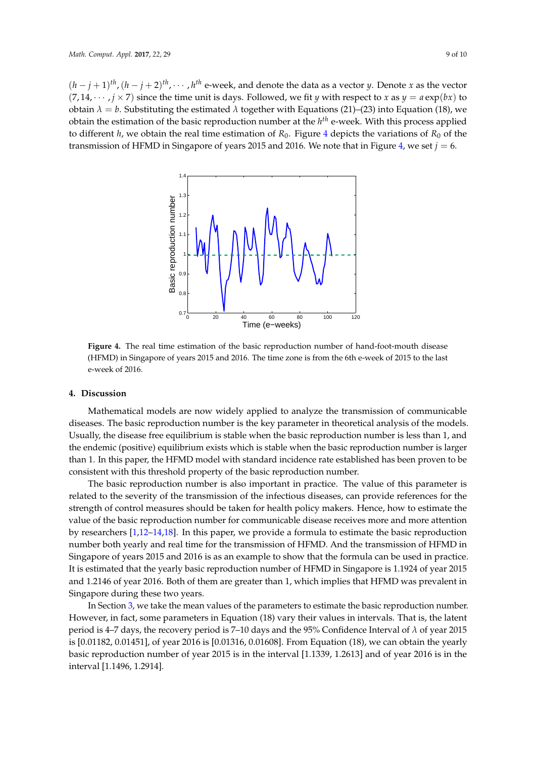<span id="page-8-0"></span> $(h-j+1)$ <sup>th</sup>,  $(h-j+2)$ <sup>th</sup>,  $\cdots$ , *h*<sup>th</sup> e-week, and denote the data as a vector *y*. Denote *x* as the vector  $(7, 14, \dots, j \times 7)$  since the time unit is days. Followed, we fit *y* with respect to *x* as  $y = a \exp(bx)$  to obtain  $λ = b$ . Substituting the estimated  $λ$  together with Equations (21)–(23) into Equation (18), we obtain the estimation of the basic reproduction number at the *h th* e-week. With this process applied to different *h*, we obtain the real time estimation of  $R_0$ . Figure [4](#page-8-0) depicts the variations of  $R_0$  of the transmission of HFMD in Singapore of years 2015 and 2016. We note that in Figure [4,](#page-8-0) we set *j* = 6.



**Figure 4.** The real time estimation of the basic reproduction number of hand-foot-mouth disease (HFMD) in Singapore of years 2015 and 2016. The time zone is from the 6th e-week of 2015 to the last e-week of 2016.

#### **4. Discussion**

Mathematical models are now widely applied to analyze the transmission of communicable diseases. The basic reproduction number is the key parameter in theoretical analysis of the models. Usually, the disease free equilibrium is stable when the basic reproduction number is less than 1, and the endemic (positive) equilibrium exists which is stable when the basic reproduction number is larger than 1. In this paper, the HFMD model with standard incidence rate established has been proven to be consistent with this threshold property of the basic reproduction number.

The basic reproduction number is also important in practice. The value of this parameter is related to the severity of the transmission of the infectious diseases, can provide references for the strength of control measures should be taken for health policy makers. Hence, how to estimate the value of the basic reproduction number for communicable disease receives more and more attention by researchers [\[1,](#page-9-0)[12–](#page-9-6)[14](#page-9-9)[,18\]](#page-9-13). In this paper, we provide a formula to estimate the basic reproduction number both yearly and real time for the transmission of HFMD. And the transmission of HFMD in Singapore of years 2015 and 2016 is as an example to show that the formula can be used in practice. It is estimated that the yearly basic reproduction number of HFMD in Singapore is 1.1924 of year 2015 and 1.2146 of year 2016. Both of them are greater than 1, which implies that HFMD was prevalent in Singapore during these two years.

In Section [3,](#page-5-0) we take the mean values of the parameters to estimate the basic reproduction number. However, in fact, some parameters in Equation (18) vary their values in intervals. That is, the latent period is 4–7 days, the recovery period is 7–10 days and the 95% Confidence Interval of *λ* of year 2015 is [0.01182, 0.01451], of year 2016 is [0.01316, 0.01608]. From Equation (18), we can obtain the yearly basic reproduction number of year 2015 is in the interval [1.1339, 1.2613] and of year 2016 is in the interval [1.1496, 1.2914].